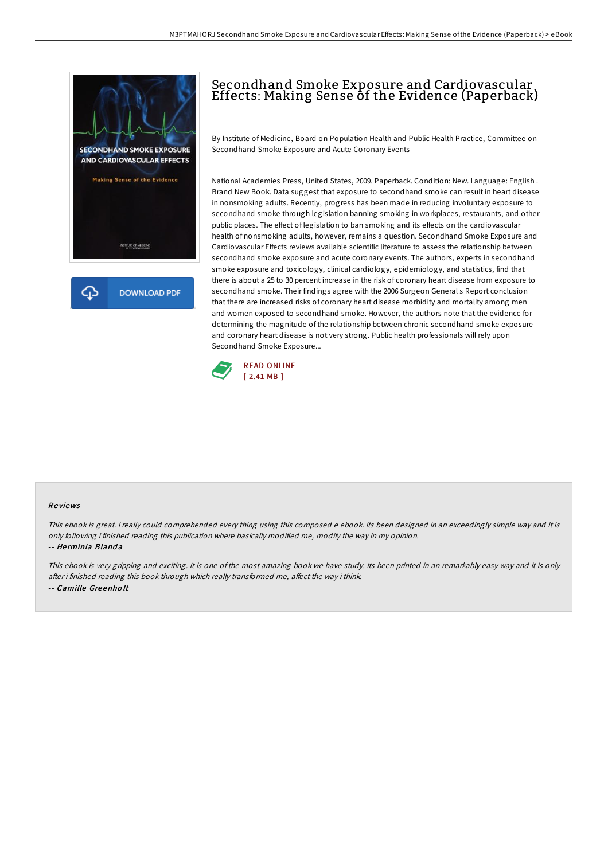



## Secondhand Smoke Exposure and Cardiovascular Effects: Making Sense of the Evidence (Paperback)

By Institute of Medicine, Board on Population Health and Public Health Practice, Committee on Secondhand Smoke Exposure and Acute Coronary Events

National Academies Press, United States, 2009. Paperback. Condition: New. Language: English . Brand New Book. Data suggest that exposure to secondhand smoke can result in heart disease in nonsmoking adults. Recently, progress has been made in reducing involuntary exposure to secondhand smoke through legislation banning smoking in workplaces, restaurants, and other public places. The effect of legislation to ban smoking and its effects on the cardiovascular health of nonsmoking adults, however, remains a question. Secondhand Smoke Exposure and Cardiovascular Effects reviews available scientific literature to assess the relationship between secondhand smoke exposure and acute coronary events. The authors, experts in secondhand smoke exposure and toxicology, clinical cardiology, epidemiology, and statistics, find that there is about a 25 to 30 percent increase in the risk of coronary heart disease from exposure to secondhand smoke. Their findings agree with the 2006 Surgeon General s Report conclusion that there are increased risks of coronary heart disease morbidity and mortality among men and women exposed to secondhand smoke. However, the authors note that the evidence for determining the magnitude of the relationship between chronic secondhand smoke exposure and coronary heart disease is not very strong. Public health professionals will rely upon Secondhand Smoke Exposure...



## Re views

This ebook is great. I really could comprehended every thing using this composed <sup>e</sup> ebook. Its been designed in an exceedingly simple way and it is only following i finished reading this publication where basically modified me, modify the way in my opinion. -- Herminia Blanda

This ebook is very gripping and exciting. It is one of the most amazing book we have study. Its been printed in an remarkably easy way and it is only after i finished reading this book through which really transformed me, affect the way i think. -- Camille Gre enho lt